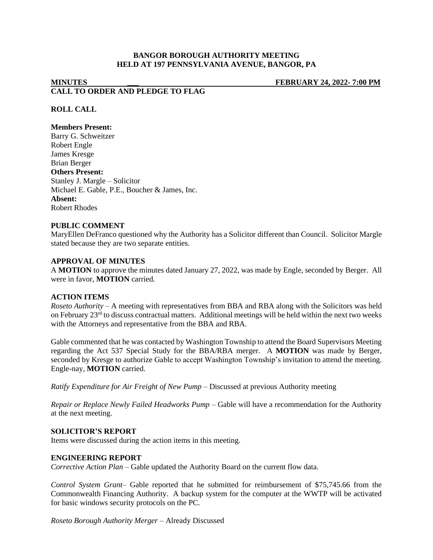## **BANGOR BOROUGH AUTHORITY MEETING HELD AT 197 PENNSYLVANIA AVENUE, BANGOR, PA**

# **MINUTES \_\_\_ FEBRUARY 24, 2022- 7:00 PM CALL TO ORDER AND PLEDGE TO FLAG**

## **ROLL CALL**

### **Members Present:**

Barry G. Schweitzer Robert Engle James Kresge Brian Berger **Others Present:** Stanley J. Margle – Solicitor Michael E. Gable, P.E., Boucher & James, Inc. **Absent:** Robert Rhodes

#### **PUBLIC COMMENT**

MaryEllen DeFranco questioned why the Authority has a Solicitor different than Council. Solicitor Margle stated because they are two separate entities.

#### **APPROVAL OF MINUTES**

A **MOTION** to approve the minutes dated January 27, 2022, was made by Engle, seconded by Berger. All were in favor, **MOTION** carried.

#### **ACTION ITEMS**

*Roseto Authority –* A meeting with representatives from BBA and RBA along with the Solicitors was held on February 23rd to discuss contractual matters. Additional meetings will be held within the next two weeks with the Attorneys and representative from the BBA and RBA.

Gable commented that he was contacted by Washington Township to attend the Board Supervisors Meeting regarding the Act 537 Special Study for the BBA/RBA merger. A **MOTION** was made by Berger, seconded by Kresge to authorize Gable to accept Washington Township's invitation to attend the meeting. Engle-nay, **MOTION** carried.

*Ratify Expenditure for Air Freight of New Pump –* Discussed at previous Authority meeting

*Repair or Replace Newly Failed Headworks Pump –* Gable will have a recommendation for the Authority at the next meeting.

#### **SOLICITOR'S REPORT**

Items were discussed during the action items in this meeting.

#### **ENGINEERING REPORT**

*Corrective Action Plan –* Gable updated the Authority Board on the current flow data.

*Control System Grant–* Gable reported that he submitted for reimbursement of \$75,745.66 from the Commonwealth Financing Authority. A backup system for the computer at the WWTP will be activated for basic windows security protocols on the PC.

*Roseto Borough Authority Merger –* Already Discussed